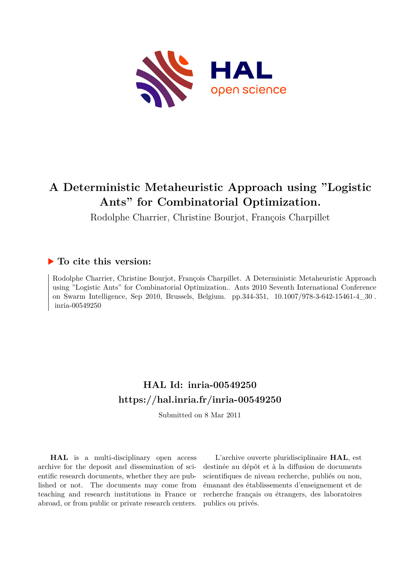

# **A Deterministic Metaheuristic Approach using "Logistic Ants" for Combinatorial Optimization.**

Rodolphe Charrier, Christine Bourjot, François Charpillet

# **To cite this version:**

Rodolphe Charrier, Christine Bourjot, François Charpillet. A Deterministic Metaheuristic Approach using "Logistic Ants" for Combinatorial Optimization.. Ants 2010 Seventh International Conference on Swarm Intelligence, Sep 2010, Brussels, Belgium. pp.344-351, 10.1007/978-3-642-15461-4  $30$ . inria-00549250

# **HAL Id: inria-00549250 <https://hal.inria.fr/inria-00549250>**

Submitted on 8 Mar 2011

**HAL** is a multi-disciplinary open access archive for the deposit and dissemination of scientific research documents, whether they are published or not. The documents may come from teaching and research institutions in France or abroad, or from public or private research centers.

L'archive ouverte pluridisciplinaire **HAL**, est destinée au dépôt et à la diffusion de documents scientifiques de niveau recherche, publiés ou non, émanant des établissements d'enseignement et de recherche français ou étrangers, des laboratoires publics ou privés.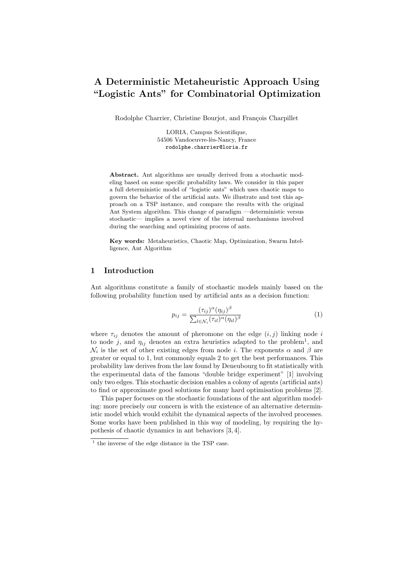# A Deterministic Metaheuristic Approach Using "Logistic Ants" for Combinatorial Optimization

Rodolphe Charrier, Christine Bourjot, and François Charpillet

LORIA, Campus Scientifique, 54506 Vandoeuvre-lès-Nancy, France rodolphe.charrier@loria.fr

Abstract. Ant algorithms are usually derived from a stochastic modeling based on some specific probability laws. We consider in this paper a full deterministic model of "logistic ants" which uses chaotic maps to govern the behavior of the artificial ants. We illustrate and test this approach on a TSP instance, and compare the results with the original Ant System algorithm. This change of paradigm —deterministic versus stochastic— implies a novel view of the internal mechanisms involved during the searching and optimizing process of ants.

Key words: Metaheuristics, Chaotic Map, Optimization, Swarm Intelligence, Ant Algorithm

#### 1 Introduction

Ant algorithms constitute a family of stochastic models mainly based on the following probability function used by artificial ants as a decision function:

$$
p_{ij} = \frac{(\tau_{ij})^{\alpha} (\eta_{ij})^{\beta}}{\sum_{l \in \mathcal{N}_i} (\tau_{il})^{\alpha} (\eta_{il})^{\beta}}
$$
(1)

where  $\tau_{ij}$  denotes the amount of pheromone on the edge  $(i, j)$  linking node i to node j, and  $\eta_{ij}$  denotes an extra heuristics adapted to the problem<sup>1</sup>, and  $\mathcal{N}_i$  is the set of other existing edges from node *i*. The exponents  $\alpha$  and  $\beta$  are greater or equal to 1, but commonly equals 2 to get the best performances. This probability law derives from the law found by Deneubourg to fit statistically with the experimental data of the famous "double bridge experiment" [1] involving only two edges. This stochastic decision enables a colony of agents (artificial ants) to find or approximate good solutions for many hard optimisation problems [2].

This paper focuses on the stochastic foundations of the ant algorithm modeling: more precisely our concern is with the existence of an alternative deterministic model which would exhibit the dynamical aspects of the involved processes. Some works have been published in this way of modeling, by requiring the hypothesis of chaotic dynamics in ant behaviors [3, 4].

 $^{\rm 1}$  the inverse of the edge distance in the TSP case.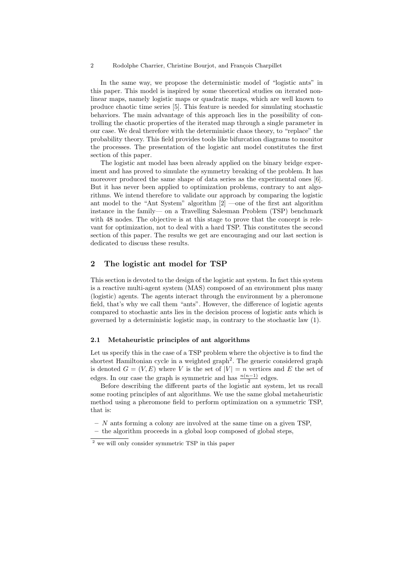2 Rodolphe Charrier, Christine Bourjot, and François Charpillet

In the same way, we propose the deterministic model of "logistic ants" in this paper. This model is inspired by some theoretical studies on iterated nonlinear maps, namely logistic maps or quadratic maps, which are well known to produce chaotic time series [5]. This feature is needed for simulating stochastic behaviors. The main advantage of this approach lies in the possibility of controlling the chaotic properties of the iterated map through a single parameter in our case. We deal therefore with the deterministic chaos theory, to "replace" the probability theory. This field provides tools like bifurcation diagrams to monitor the processes. The presentation of the logistic ant model constitutes the first section of this paper.

The logistic ant model has been already applied on the binary bridge experiment and has proved to simulate the symmetry breaking of the problem. It has moreover produced the same shape of data series as the experimental ones [6]. But it has never been applied to optimization problems, contrary to ant algorithms. We intend therefore to validate our approach by comparing the logistic ant model to the "Ant System" algorithm [2] —one of the first ant algorithm instance in the family— on a Travelling Salesman Problem (TSP) benchmark with 48 nodes. The objective is at this stage to prove that the concept is relevant for optimization, not to deal with a hard TSP. This constitutes the second section of this paper. The results we get are encouraging and our last section is dedicated to discuss these results.

#### 2 The logistic ant model for TSP

This section is devoted to the design of the logistic ant system. In fact this system is a reactive multi-agent system (MAS) composed of an environment plus many (logistic) agents. The agents interact through the environment by a pheromone field, that's why we call them "ants". However, the difference of logistic agents compared to stochastic ants lies in the decision process of logistic ants which is governed by a deterministic logistic map, in contrary to the stochastic law (1).

#### 2.1 Metaheuristic principles of ant algorithms

Let us specify this in the case of a TSP problem where the objective is to find the shortest Hamiltonian cycle in a weighted graph<sup>2</sup>. The generic considered graph is denoted  $G = (V, E)$  where V is the set of  $|V| = n$  vertices and E the set of edges. In our case the graph is symmetric and has  $\frac{n(n-1)}{2}$  edges.

Before describing the different parts of the logistic ant system, let us recall some rooting principles of ant algorithms. We use the same global metaheuristic method using a pheromone field to perform optimization on a symmetric TSP, that is:

- $N$  ants forming a colony are involved at the same time on a given TSP.
- the algorithm proceeds in a global loop composed of global steps,

 $2$  we will only consider symmetric TSP in this paper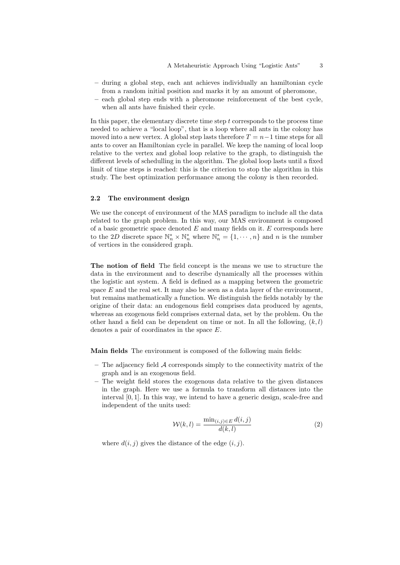- during a global step, each ant achieves individually an hamiltonian cycle from a random initial position and marks it by an amount of pheromone,
- each global step ends with a pheromone reinforcement of the best cycle, when all ants have finished their cycle.

In this paper, the elementary discrete time step  $t$  corresponds to the process time needed to achieve a "local loop", that is a loop where all ants in the colony has moved into a new vertex. A global step lasts therefore  $T = n-1$  time steps for all ants to cover an Hamiltonian cycle in parallel. We keep the naming of local loop relative to the vertex and global loop relative to the graph, to distinguish the different levels of schedulling in the algorithm. The global loop lasts until a fixed limit of time steps is reached: this is the criterion to stop the algorithm in this study. The best optimization performance among the colony is then recorded.

#### 2.2 The environment design

We use the concept of environment of the MAS paradigm to include all the data related to the graph problem. In this way, our MAS environment is composed of a basic geometric space denoted  $E$  and many fields on it.  $E$  corresponds here to the 2D discrete space  $\mathbb{N}_n^* \times \mathbb{N}_n^*$  where  $\mathbb{N}_n^* = \{1, \dots, n\}$  and n is the number of vertices in the considered graph.

The notion of field The field concept is the means we use to structure the data in the environment and to describe dynamically all the processes within the logistic ant system. A field is defined as a mapping between the geometric space  $E$  and the real set. It may also be seen as a data layer of the environment, but remains mathematically a function. We distinguish the fields notably by the origine of their data: an endogenous field comprises data produced by agents, whereas an exogenous field comprises external data, set by the problem. On the other hand a field can be dependent on time or not. In all the following,  $(k, l)$ denotes a pair of coordinates in the space E.

Main fields The environment is composed of the following main fields:

- $-$  The adjacency field  $\mathcal A$  corresponds simply to the connectivity matrix of the graph and is an exogenous field.
- The weight field stores the exogenous data relative to the given distances in the graph. Here we use a formula to transform all distances into the interval [0, 1]. In this way, we intend to have a generic design, scale-free and independent of the units used:

$$
\mathcal{W}(k,l) = \frac{\min_{(i,j)\in E} d(i,j)}{d(k,l)}\tag{2}
$$

where  $d(i, j)$  gives the distance of the edge  $(i, j)$ .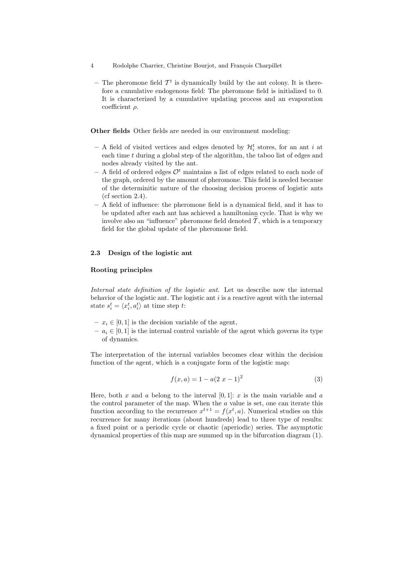- 4 Rodolphe Charrier, Christine Bourjot, and François Charpillet
	- The pheromone field  $\mathcal{T}^t$  is dynamically build by the ant colony. It is therefore a cumulative endogenous field: The pheromone field is initialized to 0. It is characterized by a cumulative updating process and an evaporation coefficient  $\rho$ .

Other fields Other fields are needed in our environment modeling:

- $-$  A field of visited vertices and edges denoted by  $\mathcal{H}_i^t$  stores, for an ant i at each time  $t$  during a global step of the algorithm, the taboo list of edges and nodes already visited by the ant.
- A field of ordered edges  $\mathcal{O}^t$  maintains a list of edges related to each node of the graph, ordered by the amount of pheromone. This field is needed because of the determinitic nature of the choosing decision process of logistic ants (cf section 2.4).
- A field of influence: the pheromone field is a dynamical field, and it has to be updated after each ant has achieved a hamiltonian cycle. That is why we involve also an "influence" pheromone field denoted  $\tilde{T}$ , which is a temporary field for the global update of the pheromone field.

## 2.3 Design of the logistic ant

#### Rooting principles

Internal state definition of the logistic ant. Let us describe now the internal behavior of the logistic ant. The logistic ant  $i$  is a reactive agent with the internal state  $s_i^t = \langle x_i^t, a_i^t \rangle$  at time step t:

- $x_i \in [0, 1]$  is the decision variable of the agent,
- $a_i \in [0, 1]$  is the internal control variable of the agent which governs its type of dynamics.

The interpretation of the internal variables becomes clear within the decision function of the agent, which is a conjugate form of the logistic map:

$$
f(x,a) = 1 - a(2\ x - 1)^2
$$
 (3)

Here, both x and a belong to the interval  $[0, 1]$ : x is the main variable and a the control parameter of the map. When the a value is set, one can iterate this function according to the recurrence  $x^{t+1} = f(x^t, a)$ . Numerical studies on this recurrence for many iterations (about hundreds) lead to three type of results: a fixed point or a periodic cycle or chaotic (aperiodic) series. The asymptotic dynamical properties of this map are summed up in the bifurcation diagram (1).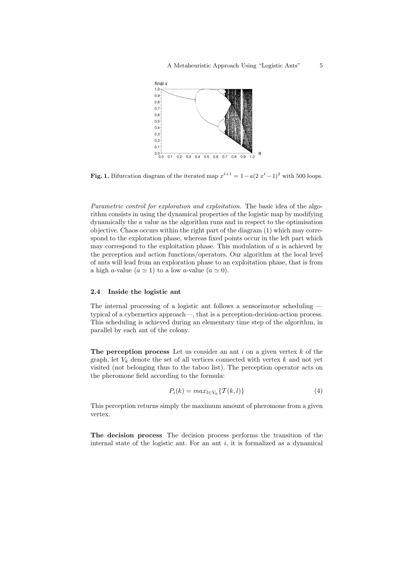

**Fig. 1.** Bifurcation diagram of the iterated map  $x^{t+1} = 1 - a(2x^t - 1)^2$  with 500 loops.

Parametric control for exploration and exploitation. The basic idea of the algorithm consists in using the dynamical properties of the logistic map by modifying dynamically the a value as the algorithm runs and in respect to the optimisation objective. Chaos occurs within the right part of the diagram (1) which may correspond to the exploration phase, whereas fixed points occur in the left part which may correspond to the exploitation phase. This modulation of  $a$  is achieved by the perception and action functions/operators. Our algorithm at the local level of ants will lead from an exploration phase to an exploitation phase, that is from a high a-value  $(a \approx 1)$  to a low a-value  $(a \approx 0)$ .

#### 2.4 Inside the logistic ant

The internal processing of a logistic ant follows a sensorimotor scheduling typical of a cybernetics approach—, that is a perception-decision-action process. This scheduling is achieved during an elementary time step of the algorithm, in parallel by each ant of the colony.

The perception process Let us consider an ant  $i$  on a given vertex  $k$  of the graph, let  $V_k$  denote the set of all vertices connected with vertex  $k$  and not yet visited (not belonging thus to the taboo list). The perception operator acts on the pheromone field according to the formula:

$$
P_i(k) = max_{l \in V_k} \{ \mathcal{T}(k, l) \}
$$
\n<sup>(4)</sup>

This perception returns simply the maximum amount of pheromone from a given vertex.

The decision process The decision process performs the transition of the internal state of the logistic ant. For an ant  $i$ , it is formalized as a dynamical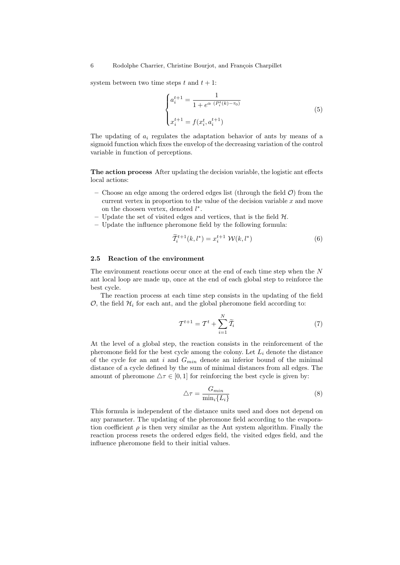system between two time steps  $t$  and  $t + 1$ :

$$
\begin{cases} a_i^{t+1} = \frac{1}{1 + e^{\alpha} (P_i^t(k) - \tau_0)} \\ x_i^{t+1} = f(x_i^t, a_i^{t+1}) \end{cases}
$$
 (5)

The updating of  $a_i$  regulates the adaptation behavior of ants by means of a sigmoid function which fixes the envelop of the decreasing variation of the control variable in function of perceptions.

The action process After updating the decision variable, the logistic ant effects local actions:

- Choose an edge among the ordered edges list (through the field  $\mathcal{O}$ ) from the current vertex in proportion to the value of the decision variable  $x$  and move on the choosen vertex, denoted  $l^*$ .
- Update the set of visited edges and vertices, that is the field  $H$ .
- Update the influence pheromone field by the following formula:

$$
\widetilde{T}_i^{t+1}(k,l^*) = x_i^{t+1} \mathcal{W}(k,l^*)
$$
\n<sup>(6)</sup>

#### 2.5 Reaction of the environment

The environment reactions occur once at the end of each time step when the  $N$ ant local loop are made up, once at the end of each global step to reinforce the best cycle.

The reaction process at each time step consists in the updating of the field  $\mathcal{O}$ , the field  $\mathcal{H}_i$  for each ant, and the global pheromone field according to:

$$
\mathcal{T}^{t+1} = \mathcal{T}^t + \sum_{i=1}^N \widetilde{\mathcal{T}}_i \tag{7}
$$

At the level of a global step, the reaction consists in the reinforcement of the pheromone field for the best cycle among the colony. Let  $L_i$  denote the distance of the cycle for an ant i and  $G_{min}$  denote an inferior bound of the minimal distance of a cycle defined by the sum of minimal distances from all edges. The amount of pheromone  $\Delta \tau \in [0, 1]$  for reinforcing the best cycle is given by:

$$
\triangle \tau = \frac{G_{min}}{\min_i \{L_i\}}\tag{8}
$$

This formula is independent of the distance units used and does not depend on any parameter. The updating of the pheromone field according to the evaporation coefficient  $\rho$  is then very similar as the Ant system algorithm. Finally the reaction process resets the ordered edges field, the visited edges field, and the influence pheromone field to their initial values.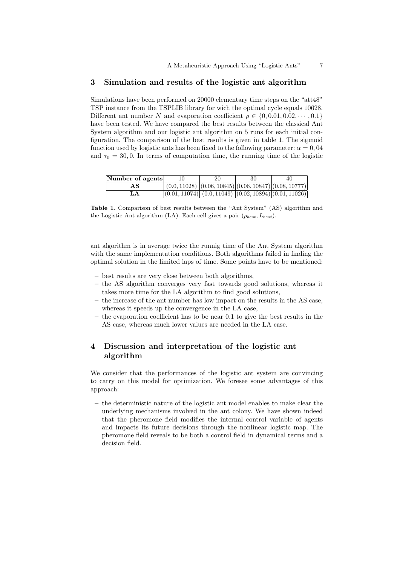## 3 Simulation and results of the logistic ant algorithm

Simulations have been performed on 20000 elementary time steps on the "att48" TSP instance from the TSPLIB library for wich the optimal cycle equals 10628. Different ant number N and evaporation coefficient  $\rho \in \{0, 0.01, 0.02, \dots, 0.1\}$ have been tested. We have compared the best results between the classical Ant System algorithm and our logistic ant algorithm on 5 runs for each initial configuration. The comparison of the best results is given in table 1. The sigmoid function used by logistic ants has been fixed to the following parameter:  $\alpha = 0,04$ and  $\tau_0 = 30, 0$ . In terms of computation time, the running time of the logistic

| Number of agents | 20 | 30 | 40                                                             |
|------------------|----|----|----------------------------------------------------------------|
| AS               |    |    | $(0.0, 11028)$ $(0.06, 10845)$ $(0.06, 10847)$ $(0.08, 10777)$ |
| LА               |    |    | $(0.01, 11074) (0.0, 11049) (0.02, 10894) (0.01, 11026)$       |

Table 1. Comparison of best results between the "Ant System" (AS) algorithm and the Logistic Ant algorithm (LA). Each cell gives a pair  $(\rho_{best}, L_{best})$ .

ant algorithm is in average twice the runnig time of the Ant System algorithm with the same implementation conditions. Both algorithms failed in finding the optimal solution in the limited laps of time. Some points have to be mentioned:

- best results are very close between both algorithms,
- the AS algorithm converges very fast towards good solutions, whereas it takes more time for the LA algorithm to find good solutions,
- the increase of the ant number has low impact on the results in the AS case, whereas it speeds up the convergence in the LA case,
- the evaporation coefficient has to be near 0.1 to give the best results in the AS case, whereas much lower values are needed in the LA case.

# 4 Discussion and interpretation of the logistic ant algorithm

We consider that the performances of the logistic ant system are convincing to carry on this model for optimization. We foresee some advantages of this approach:

– the deterministic nature of the logistic ant model enables to make clear the underlying mechanisms involved in the ant colony. We have shown indeed that the pheromone field modifies the internal control variable of agents and impacts its future decisions through the nonlinear logistic map. The pheromone field reveals to be both a control field in dynamical terms and a decision field.